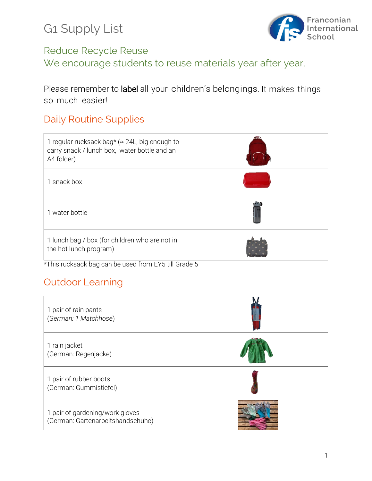

# Reduce Recycle Reuse

We encourage students to reuse materials year after year.

Please remember to label all your children's belongings. It makes things so much easier!

### Daily Routine Supplies

| 1 regular rucksack bag* ( $\approx$ 24L, big enough to<br>carry snack / lunch box, water bottle and an<br>A4 folder) |  |
|----------------------------------------------------------------------------------------------------------------------|--|
| 1 snack box                                                                                                          |  |
| 1 water bottle                                                                                                       |  |
| 1 lunch bag / box (for children who are not in<br>the hot lunch program)                                             |  |

\*This rucksack bag can be used from EY5 till Grade 5

### Outdoor Learning

| 1 pair of rain pants<br>(German: 1 Matchhose)                        |  |
|----------------------------------------------------------------------|--|
| 1 rain jacket<br>(German: Regenjacke)                                |  |
| 1 pair of rubber boots<br>(German: Gummistiefel)                     |  |
| 1 pair of gardening/work gloves<br>(German: Gartenarbeitshandschuhe) |  |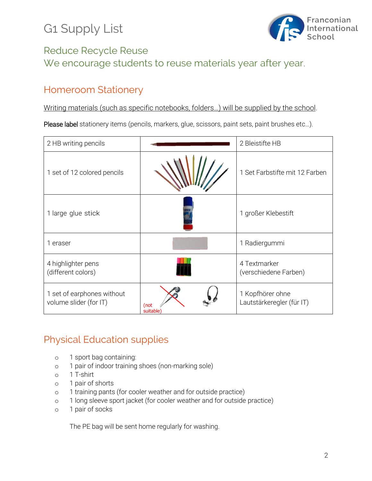# G1 Supply List



### Reduce Recycle Reuse We encourage students to reuse materials year after year.

#### Homeroom Stationery

Writing materials (such as specific notebooks, folders…) will be supplied by the school.

Please label stationery items (pencils, markers, glue, scissors, paint sets, paint brushes etc...).

| 2 HB writing pencils                                 |                  | 2 Bleistifte HB                               |
|------------------------------------------------------|------------------|-----------------------------------------------|
| 1 set of 12 colored pencils                          |                  | 1 Set Farbstifte mit 12 Farben                |
| 1 large glue stick                                   |                  | 1 großer Klebestift                           |
| 1 eraser                                             |                  | 1 Radiergummi                                 |
| 4 highlighter pens<br>(different colors)             |                  | 4 Textmarker<br>(verschiedene Farben)         |
| 1 set of earphones without<br>volume slider (for IT) | (not<br>suitable | 1 Kopfhörer ohne<br>Lautstärkeregler (für IT) |

#### Physical Education supplies

- o 1 sport bag containing:
- o 1 pair of indoor training shoes (non-marking sole)
- o 1 T-shirt
- o 1 pair of shorts
- o 1 training pants (for cooler weather and for outside practice)
- o 1 long sleeve sport jacket (for cooler weather and for outside practice)
- o 1 pair of socks

The PE bag will be sent home regularly for washing.